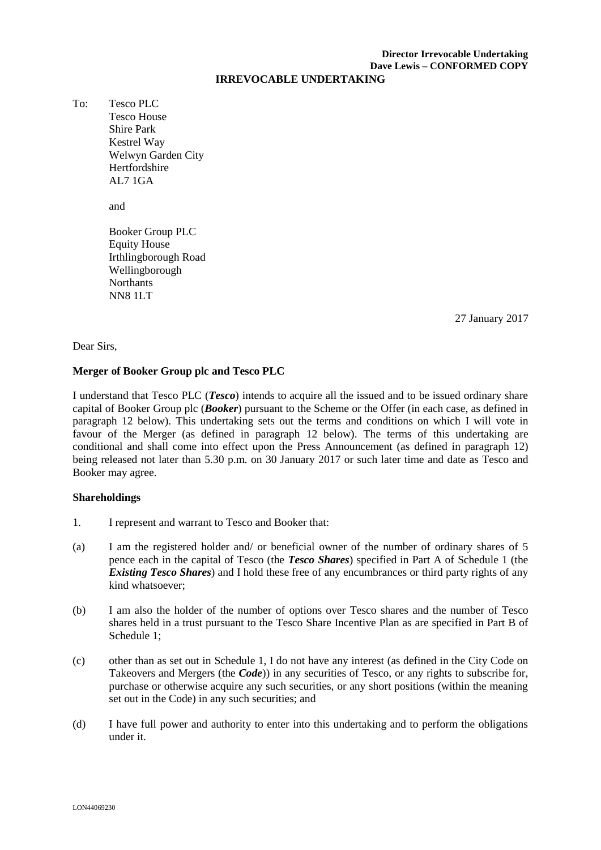# **Director Irrevocable Undertaking Dave Lewis – CONFORMED COPY**

#### **IRREVOCABLE UNDERTAKING**

To: Tesco PLC Tesco House Shire Park Kestrel Way Welwyn Garden City Hertfordshire AL7 1GA

and

Booker Group PLC Equity House Irthlingborough Road Wellingborough Northants NN8 1LT

\_\_\_\_\_ January 2017 2727 January 2017

#### Dear Sirs,

## **Merger of Booker Group plc and Tesco PLC**

I understand that Tesco PLC (*Tesco*) intends to acquire all the issued and to be issued ordinary share capital of Booker Group plc (*Booker*) pursuant to the Scheme or the Offer (in each case, as defined in paragraph 12 below). This undertaking sets out the terms and conditions on which I will vote in favour of the Merger (as defined in paragraph 12 below). The terms of this undertaking are conditional and shall come into effect upon the Press Announcement (as defined in paragraph 12) being released not later than 5.30 p.m. on 30 January 2017 or such later time and date as Tesco and Booker may agree.

## **Shareholdings**

- 1. I represent and warrant to Tesco and Booker that:
- (a) I am the registered holder and/ or beneficial owner of the number of ordinary shares of 5 pence each in the capital of Tesco (the *Tesco Shares*) specified in Part A of Schedule 1 (the *Existing Tesco Shares*) and I hold these free of any encumbrances or third party rights of any kind whatsoever;
- (b) I am also the holder of the number of options over Tesco shares and the number of Tesco shares held in a trust pursuant to the Tesco Share Incentive Plan as are specified in Part B of Schedule 1;
- (c) other than as set out in Schedule 1, I do not have any interest (as defined in the City Code on Takeovers and Mergers (the *Code*)) in any securities of Tesco, or any rights to subscribe for, purchase or otherwise acquire any such securities, or any short positions (within the meaning set out in the Code) in any such securities; and
- (d) I have full power and authority to enter into this undertaking and to perform the obligations under it.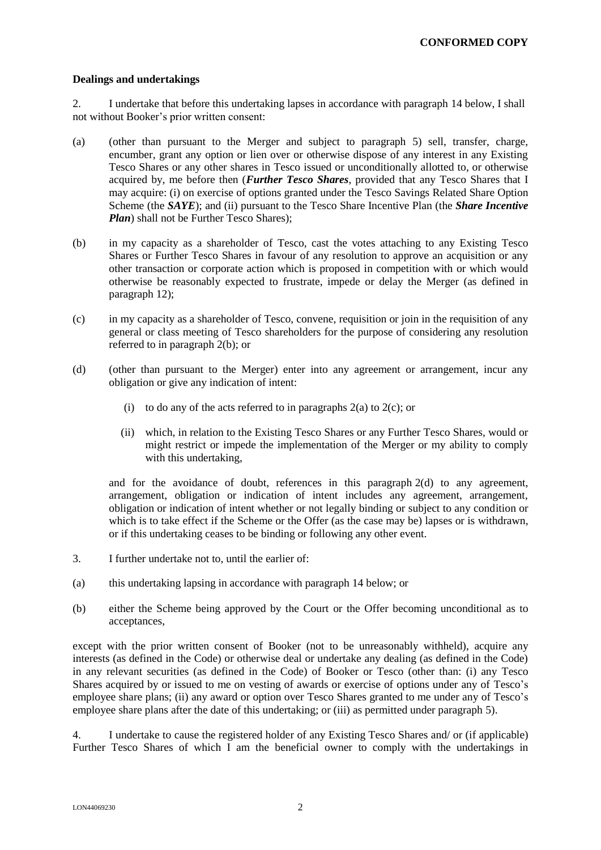#### **Dealings and undertakings**

2. I undertake that before this undertaking lapses in accordance with paragraph 14 below, I shall not without Booker's prior written consent:

- (a) (other than pursuant to the Merger and subject to paragraph 5) sell, transfer, charge, encumber, grant any option or lien over or otherwise dispose of any interest in any Existing Tesco Shares or any other shares in Tesco issued or unconditionally allotted to, or otherwise acquired by, me before then (*Further Tesco Shares*, provided that any Tesco Shares that I may acquire: (i) on exercise of options granted under the Tesco Savings Related Share Option Scheme (the *SAYE*); and (ii) pursuant to the Tesco Share Incentive Plan (the *Share Incentive Plan*) shall not be Further Tesco Shares):
- (b) in my capacity as a shareholder of Tesco, cast the votes attaching to any Existing Tesco Shares or Further Tesco Shares in favour of any resolution to approve an acquisition or any other transaction or corporate action which is proposed in competition with or which would otherwise be reasonably expected to frustrate, impede or delay the Merger (as defined in paragraph 12);
- (c) in my capacity as a shareholder of Tesco, convene, requisition or join in the requisition of any general or class meeting of Tesco shareholders for the purpose of considering any resolution referred to in paragraph 2(b); or
- (d) (other than pursuant to the Merger) enter into any agreement or arrangement, incur any obligation or give any indication of intent:
	- (i) to do any of the acts referred to in paragraphs  $2(a)$  to  $2(c)$ ; or
	- (ii) which, in relation to the Existing Tesco Shares or any Further Tesco Shares, would or might restrict or impede the implementation of the Merger or my ability to comply with this undertaking,

and for the avoidance of doubt, references in this paragraph 2(d) to any agreement, arrangement, obligation or indication of intent includes any agreement, arrangement, obligation or indication of intent whether or not legally binding or subject to any condition or which is to take effect if the Scheme or the Offer (as the case may be) lapses or is withdrawn, or if this undertaking ceases to be binding or following any other event.

- 3. I further undertake not to, until the earlier of:
- (a) this undertaking lapsing in accordance with paragraph 14 below; or
- (b) either the Scheme being approved by the Court or the Offer becoming unconditional as to acceptances,

except with the prior written consent of Booker (not to be unreasonably withheld), acquire any interests (as defined in the Code) or otherwise deal or undertake any dealing (as defined in the Code) in any relevant securities (as defined in the Code) of Booker or Tesco (other than: (i) any Tesco Shares acquired by or issued to me on vesting of awards or exercise of options under any of Tesco's employee share plans; (ii) any award or option over Tesco Shares granted to me under any of Tesco's employee share plans after the date of this undertaking; or (iii) as permitted under paragraph 5).

4. I undertake to cause the registered holder of any Existing Tesco Shares and/ or (if applicable) Further Tesco Shares of which I am the beneficial owner to comply with the undertakings in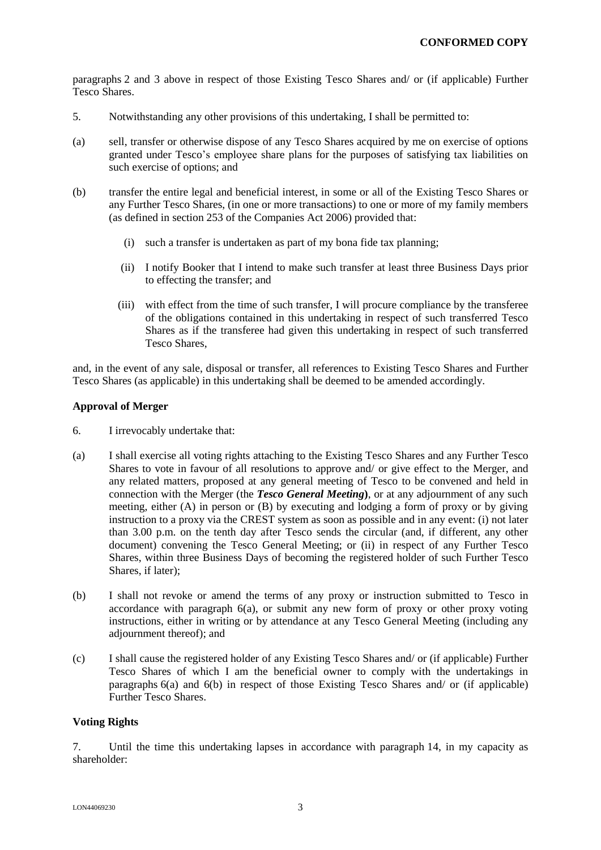paragraphs 2 and 3 above in respect of those Existing Tesco Shares and/ or (if applicable) Further Tesco Shares.

- 5. Notwithstanding any other provisions of this undertaking, I shall be permitted to:
- (a) sell, transfer or otherwise dispose of any Tesco Shares acquired by me on exercise of options granted under Tesco's employee share plans for the purposes of satisfying tax liabilities on such exercise of options; and
- (b) transfer the entire legal and beneficial interest, in some or all of the Existing Tesco Shares or any Further Tesco Shares, (in one or more transactions) to one or more of my family members (as defined in section 253 of the Companies Act 2006) provided that:
	- (i) such a transfer is undertaken as part of my bona fide tax planning;
	- (ii) I notify Booker that I intend to make such transfer at least three Business Days prior to effecting the transfer; and
	- (iii) with effect from the time of such transfer, I will procure compliance by the transferee of the obligations contained in this undertaking in respect of such transferred Tesco Shares as if the transferee had given this undertaking in respect of such transferred Tesco Shares,

and, in the event of any sale, disposal or transfer, all references to Existing Tesco Shares and Further Tesco Shares (as applicable) in this undertaking shall be deemed to be amended accordingly.

## **Approval of Merger**

- 6. I irrevocably undertake that:
- (a) I shall exercise all voting rights attaching to the Existing Tesco Shares and any Further Tesco Shares to vote in favour of all resolutions to approve and/ or give effect to the Merger, and any related matters, proposed at any general meeting of Tesco to be convened and held in connection with the Merger (the *Tesco General Meeting***)**, or at any adjournment of any such meeting, either (A) in person or (B) by executing and lodging a form of proxy or by giving instruction to a proxy via the CREST system as soon as possible and in any event: (i) not later than 3.00 p.m. on the tenth day after Tesco sends the circular (and, if different, any other document) convening the Tesco General Meeting; or (ii) in respect of any Further Tesco Shares, within three Business Days of becoming the registered holder of such Further Tesco Shares, if later);
- (b) I shall not revoke or amend the terms of any proxy or instruction submitted to Tesco in accordance with paragraph 6(a), or submit any new form of proxy or other proxy voting instructions, either in writing or by attendance at any Tesco General Meeting (including any adjournment thereof); and
- (c) I shall cause the registered holder of any Existing Tesco Shares and/ or (if applicable) Further Tesco Shares of which I am the beneficial owner to comply with the undertakings in paragraphs 6(a) and 6(b) in respect of those Existing Tesco Shares and/ or (if applicable) Further Tesco Shares.

## **Voting Rights**

7. Until the time this undertaking lapses in accordance with paragraph 14, in my capacity as shareholder: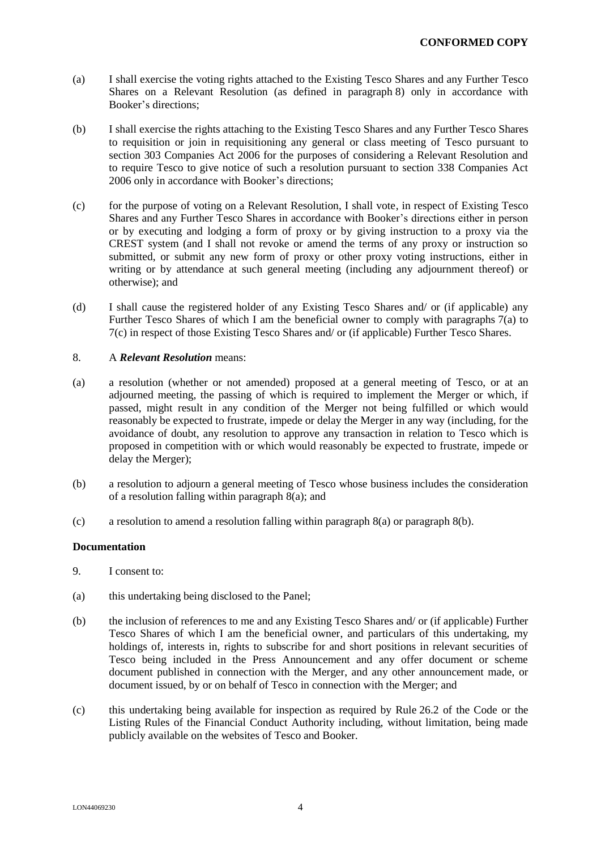- (a) I shall exercise the voting rights attached to the Existing Tesco Shares and any Further Tesco Shares on a Relevant Resolution (as defined in paragraph 8) only in accordance with Booker's directions;
- (b) I shall exercise the rights attaching to the Existing Tesco Shares and any Further Tesco Shares to requisition or join in requisitioning any general or class meeting of Tesco pursuant to section 303 Companies Act 2006 for the purposes of considering a Relevant Resolution and to require Tesco to give notice of such a resolution pursuant to section 338 Companies Act 2006 only in accordance with Booker's directions;
- (c) for the purpose of voting on a Relevant Resolution, I shall vote, in respect of Existing Tesco Shares and any Further Tesco Shares in accordance with Booker's directions either in person or by executing and lodging a form of proxy or by giving instruction to a proxy via the CREST system (and I shall not revoke or amend the terms of any proxy or instruction so submitted, or submit any new form of proxy or other proxy voting instructions, either in writing or by attendance at such general meeting (including any adjournment thereof) or otherwise); and
- (d) I shall cause the registered holder of any Existing Tesco Shares and/ or (if applicable) any Further Tesco Shares of which I am the beneficial owner to comply with paragraphs 7(a) to 7(c) in respect of those Existing Tesco Shares and/ or (if applicable) Further Tesco Shares.

#### 8. A *Relevant Resolution* means:

- (a) a resolution (whether or not amended) proposed at a general meeting of Tesco, or at an adjourned meeting, the passing of which is required to implement the Merger or which, if passed, might result in any condition of the Merger not being fulfilled or which would reasonably be expected to frustrate, impede or delay the Merger in any way (including, for the avoidance of doubt, any resolution to approve any transaction in relation to Tesco which is proposed in competition with or which would reasonably be expected to frustrate, impede or delay the Merger);
- (b) a resolution to adjourn a general meeting of Tesco whose business includes the consideration of a resolution falling within paragraph 8(a); and
- (c) a resolution to amend a resolution falling within paragraph 8(a) or paragraph 8(b).

#### **Documentation**

- 9. I consent to:
- (a) this undertaking being disclosed to the Panel;
- (b) the inclusion of references to me and any Existing Tesco Shares and/ or (if applicable) Further Tesco Shares of which I am the beneficial owner, and particulars of this undertaking, my holdings of, interests in, rights to subscribe for and short positions in relevant securities of Tesco being included in the Press Announcement and any offer document or scheme document published in connection with the Merger, and any other announcement made, or document issued, by or on behalf of Tesco in connection with the Merger; and
- (c) this undertaking being available for inspection as required by Rule 26.2 of the Code or the Listing Rules of the Financial Conduct Authority including, without limitation, being made publicly available on the websites of Tesco and Booker.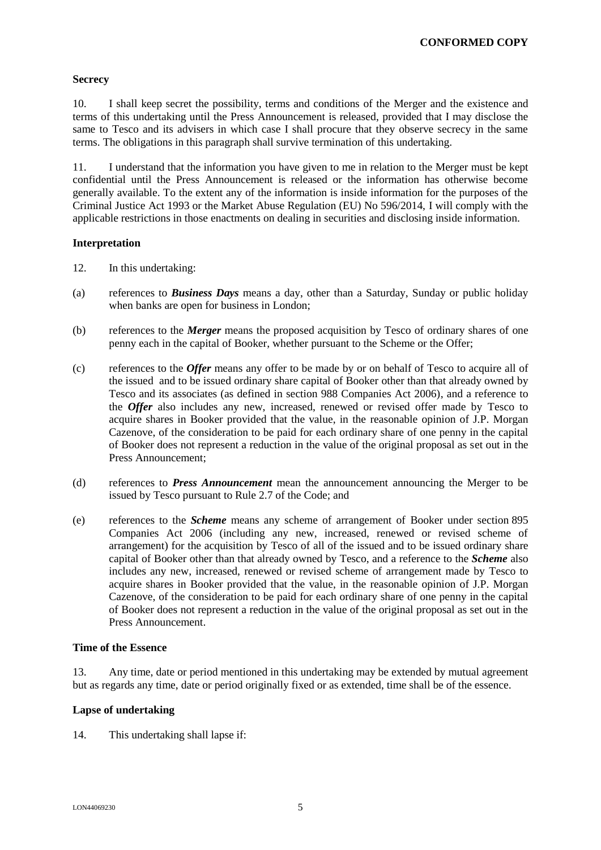## **Secrecy**

10. I shall keep secret the possibility, terms and conditions of the Merger and the existence and terms of this undertaking until the Press Announcement is released, provided that I may disclose the same to Tesco and its advisers in which case I shall procure that they observe secrecy in the same terms. The obligations in this paragraph shall survive termination of this undertaking.

11. I understand that the information you have given to me in relation to the Merger must be kept confidential until the Press Announcement is released or the information has otherwise become generally available. To the extent any of the information is inside information for the purposes of the Criminal Justice Act 1993 or the Market Abuse Regulation (EU) No 596/2014, I will comply with the applicable restrictions in those enactments on dealing in securities and disclosing inside information.

# **Interpretation**

- 12. In this undertaking:
- (a) references to *Business Days* means a day, other than a Saturday, Sunday or public holiday when banks are open for business in London;
- (b) references to the *Merger* means the proposed acquisition by Tesco of ordinary shares of one penny each in the capital of Booker, whether pursuant to the Scheme or the Offer;
- (c) references to the *Offer* means any offer to be made by or on behalf of Tesco to acquire all of the issued and to be issued ordinary share capital of Booker other than that already owned by Tesco and its associates (as defined in section 988 Companies Act 2006), and a reference to the *Offer* also includes any new, increased, renewed or revised offer made by Tesco to acquire shares in Booker provided that the value, in the reasonable opinion of J.P. Morgan Cazenove, of the consideration to be paid for each ordinary share of one penny in the capital of Booker does not represent a reduction in the value of the original proposal as set out in the Press Announcement;
- (d) references to *Press Announcement* mean the announcement announcing the Merger to be issued by Tesco pursuant to Rule 2.7 of the Code; and
- (e) references to the *Scheme* means any scheme of arrangement of Booker under section 895 Companies Act 2006 (including any new, increased, renewed or revised scheme of arrangement) for the acquisition by Tesco of all of the issued and to be issued ordinary share capital of Booker other than that already owned by Tesco, and a reference to the *Scheme* also includes any new, increased, renewed or revised scheme of arrangement made by Tesco to acquire shares in Booker provided that the value, in the reasonable opinion of J.P. Morgan Cazenove, of the consideration to be paid for each ordinary share of one penny in the capital of Booker does not represent a reduction in the value of the original proposal as set out in the Press Announcement.

## **Time of the Essence**

13. Any time, date or period mentioned in this undertaking may be extended by mutual agreement but as regards any time, date or period originally fixed or as extended, time shall be of the essence.

## **Lapse of undertaking**

14. This undertaking shall lapse if: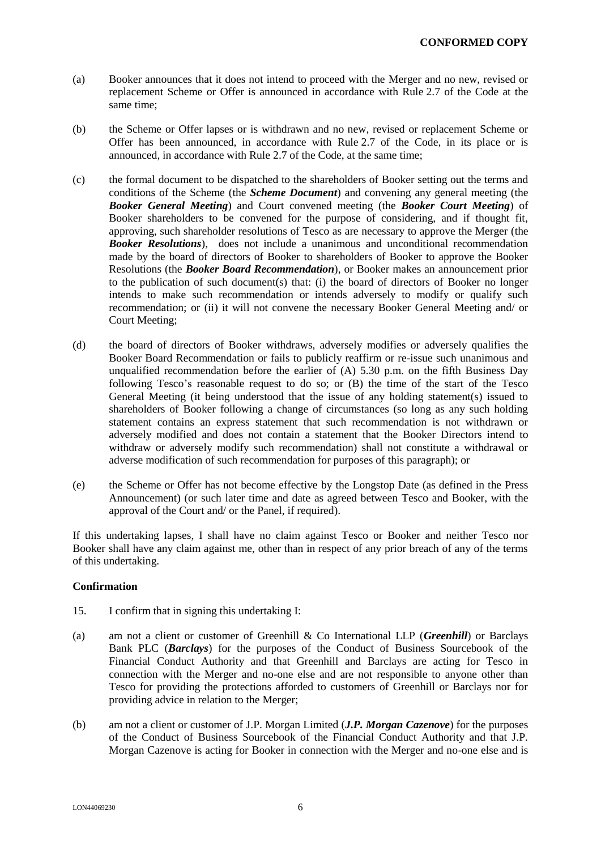- (a) Booker announces that it does not intend to proceed with the Merger and no new, revised or replacement Scheme or Offer is announced in accordance with Rule 2.7 of the Code at the same time;
- (b) the Scheme or Offer lapses or is withdrawn and no new, revised or replacement Scheme or Offer has been announced, in accordance with Rule 2.7 of the Code, in its place or is announced, in accordance with Rule 2.7 of the Code, at the same time;
- (c) the formal document to be dispatched to the shareholders of Booker setting out the terms and conditions of the Scheme (the *Scheme Document*) and convening any general meeting (the *Booker General Meeting*) and Court convened meeting (the *Booker Court Meeting*) of Booker shareholders to be convened for the purpose of considering, and if thought fit, approving, such shareholder resolutions of Tesco as are necessary to approve the Merger (the *Booker Resolutions*), does not include a unanimous and unconditional recommendation made by the board of directors of Booker to shareholders of Booker to approve the Booker Resolutions (the *Booker Board Recommendation*), or Booker makes an announcement prior to the publication of such document(s) that: (i) the board of directors of Booker no longer intends to make such recommendation or intends adversely to modify or qualify such recommendation; or (ii) it will not convene the necessary Booker General Meeting and/ or Court Meeting;
- (d) the board of directors of Booker withdraws, adversely modifies or adversely qualifies the Booker Board Recommendation or fails to publicly reaffirm or re-issue such unanimous and unqualified recommendation before the earlier of  $(A)$  5.30 p.m. on the fifth Business Day following Tesco's reasonable request to do so; or (B) the time of the start of the Tesco General Meeting (it being understood that the issue of any holding statement(s) issued to shareholders of Booker following a change of circumstances (so long as any such holding statement contains an express statement that such recommendation is not withdrawn or adversely modified and does not contain a statement that the Booker Directors intend to withdraw or adversely modify such recommendation) shall not constitute a withdrawal or adverse modification of such recommendation for purposes of this paragraph); or
- (e) the Scheme or Offer has not become effective by the Longstop Date (as defined in the Press Announcement) (or such later time and date as agreed between Tesco and Booker, with the approval of the Court and/ or the Panel, if required).

If this undertaking lapses, I shall have no claim against Tesco or Booker and neither Tesco nor Booker shall have any claim against me, other than in respect of any prior breach of any of the terms of this undertaking.

## **Confirmation**

- 15. I confirm that in signing this undertaking I:
- (a) am not a client or customer of Greenhill & Co International LLP (*Greenhill*) or Barclays Bank PLC (*Barclays*) for the purposes of the Conduct of Business Sourcebook of the Financial Conduct Authority and that Greenhill and Barclays are acting for Tesco in connection with the Merger and no-one else and are not responsible to anyone other than Tesco for providing the protections afforded to customers of Greenhill or Barclays nor for providing advice in relation to the Merger;
- (b) am not a client or customer of J.P. Morgan Limited (*J.P. Morgan Cazenove*) for the purposes of the Conduct of Business Sourcebook of the Financial Conduct Authority and that J.P. Morgan Cazenove is acting for Booker in connection with the Merger and no-one else and is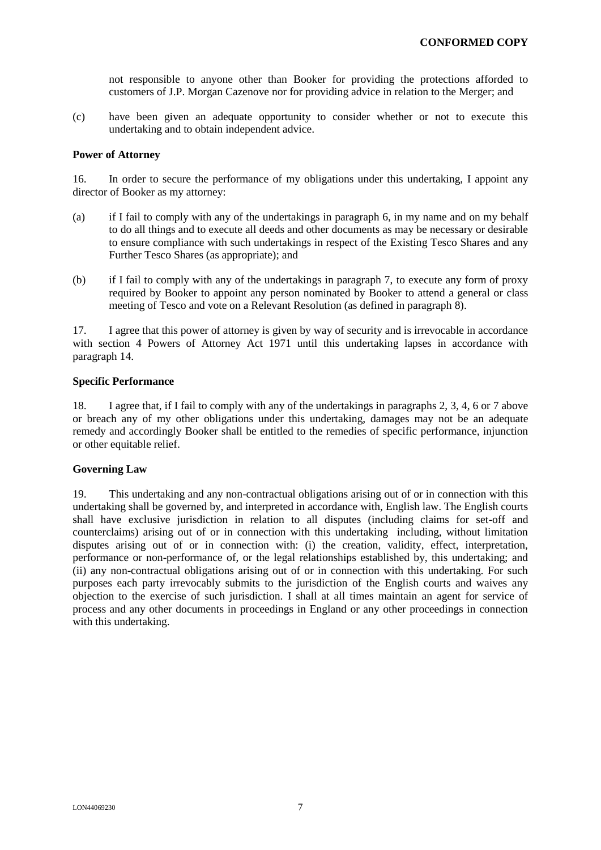not responsible to anyone other than Booker for providing the protections afforded to customers of J.P. Morgan Cazenove nor for providing advice in relation to the Merger; and

(c) have been given an adequate opportunity to consider whether or not to execute this undertaking and to obtain independent advice.

#### **Power of Attorney**

16. In order to secure the performance of my obligations under this undertaking, I appoint any director of Booker as my attorney:

- (a) if I fail to comply with any of the undertakings in paragraph 6, in my name and on my behalf to do all things and to execute all deeds and other documents as may be necessary or desirable to ensure compliance with such undertakings in respect of the Existing Tesco Shares and any Further Tesco Shares (as appropriate); and
- (b) if I fail to comply with any of the undertakings in paragraph 7, to execute any form of proxy required by Booker to appoint any person nominated by Booker to attend a general or class meeting of Tesco and vote on a Relevant Resolution (as defined in paragraph 8).

17. I agree that this power of attorney is given by way of security and is irrevocable in accordance with section 4 Powers of Attorney Act 1971 until this undertaking lapses in accordance with paragraph 14.

#### **Specific Performance**

18. I agree that, if I fail to comply with any of the undertakings in paragraphs 2, 3, 4, 6 or 7 above or breach any of my other obligations under this undertaking, damages may not be an adequate remedy and accordingly Booker shall be entitled to the remedies of specific performance, injunction or other equitable relief.

## **Governing Law**

19. This undertaking and any non-contractual obligations arising out of or in connection with this undertaking shall be governed by, and interpreted in accordance with, English law. The English courts shall have exclusive jurisdiction in relation to all disputes (including claims for set-off and counterclaims) arising out of or in connection with this undertaking including, without limitation disputes arising out of or in connection with: (i) the creation, validity, effect, interpretation, performance or non-performance of, or the legal relationships established by, this undertaking; and (ii) any non-contractual obligations arising out of or in connection with this undertaking. For such purposes each party irrevocably submits to the jurisdiction of the English courts and waives any objection to the exercise of such jurisdiction. I shall at all times maintain an agent for service of process and any other documents in proceedings in England or any other proceedings in connection with this undertaking.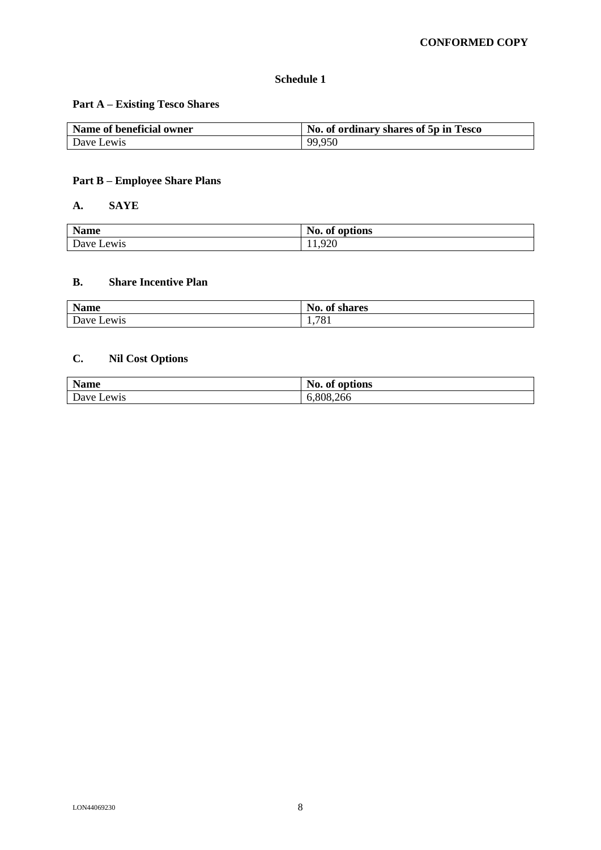# **Schedule 1**

# **Part A – Existing Tesco Shares**

| Name of beneficial owner | No. of ordinary shares of 5p in Tesco |
|--------------------------|---------------------------------------|
| Dave Lewis               | 99,950                                |

# **Part B – Employee Share Plans**

# **A. SAYE**

| <b>Name</b> | No. of options         |  |
|-------------|------------------------|--|
| Dave Lewis  | $\Omega$<br>◡<br>1.720 |  |

# **B. Share Incentive Plan**

| <b>Name</b> | No.<br>$\mathbf{a}$<br>of shares |
|-------------|----------------------------------|
| Dave Lewis  | 1,781                            |

# **C. Nil Cost Options**

| <b>Name</b> | No.<br>of options |
|-------------|-------------------|
| Dave Lewis  | 6,808,266         |